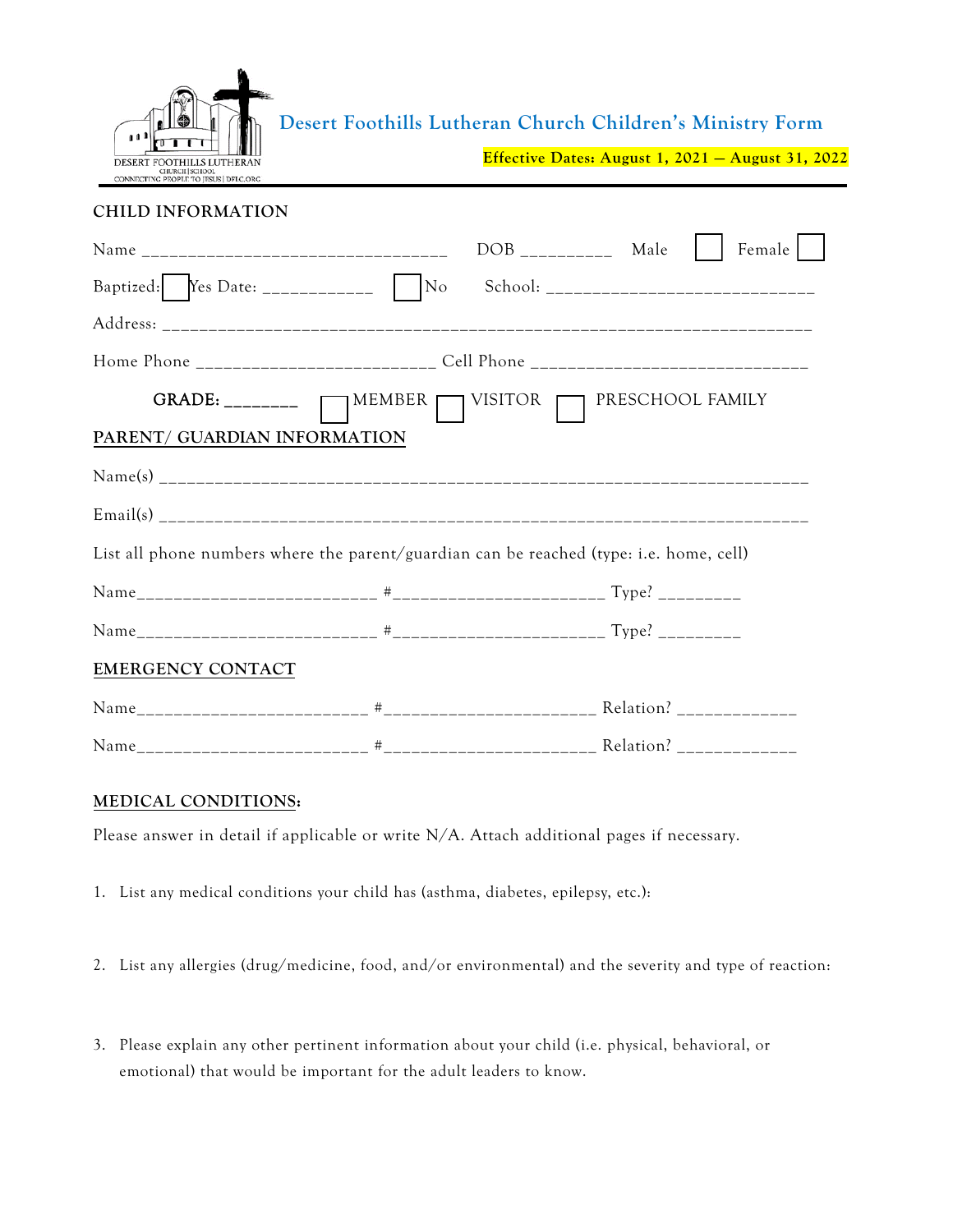

**Desert Foothills Lutheran Church Children's Ministry Form**

**Effective Dates: August 1, 2021 — August 31, 2022**

## **CHILD INFORMATION**

|                                                                                         |  | $DOB$ <sub>__________</sub> Male |  | Female |
|-----------------------------------------------------------------------------------------|--|----------------------------------|--|--------|
|                                                                                         |  |                                  |  |        |
|                                                                                         |  |                                  |  |        |
| Home Phone __________________________ Cell Phone _______________________________        |  |                                  |  |        |
| GRADE: ________ __ MEMBER __ VISITOR __ PRESCHOOL FAMILY                                |  |                                  |  |        |
| PARENT/ GUARDIAN INFORMATION                                                            |  |                                  |  |        |
|                                                                                         |  |                                  |  |        |
|                                                                                         |  |                                  |  |        |
| List all phone numbers where the parent/guardian can be reached (type: i.e. home, cell) |  |                                  |  |        |
|                                                                                         |  |                                  |  |        |
|                                                                                         |  |                                  |  |        |
| EMERGENCY CONTACT                                                                       |  |                                  |  |        |
|                                                                                         |  |                                  |  |        |
|                                                                                         |  |                                  |  |        |

## **MEDICAL CONDITIONS:**

Please answer in detail if applicable or write N/A. Attach additional pages if necessary.

- 1. List any medical conditions your child has (asthma, diabetes, epilepsy, etc.):
- 2. List any allergies (drug/medicine, food, and/or environmental) and the severity and type of reaction:
- 3. Please explain any other pertinent information about your child (i.e. physical, behavioral, or emotional) that would be important for the adult leaders to know.